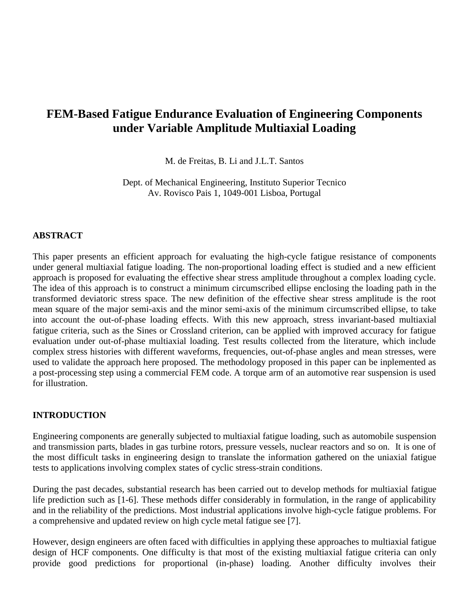# **FEM-Based Fatigue Endurance Evaluation of Engineering Components under Variable Amplitude Multiaxial Loading**

M. de Freitas, B. Li and J.L.T. Santos

Dept. of Mechanical Engineering, Instituto Superior Tecnico Av. Rovisco Pais 1, 1049-001 Lisboa, Portugal

### **ABSTRACT**

This paper presents an efficient approach for evaluating the high-cycle fatigue resistance of components under general multiaxial fatigue loading. The non-proportional loading effect is studied and a new efficient approach is proposed for evaluating the effective shear stress amplitude throughout a complex loading cycle. The idea of this approach is to construct a minimum circumscribed ellipse enclosing the loading path in the transformed deviatoric stress space. The new definition of the effective shear stress amplitude is the root mean square of the major semi-axis and the minor semi-axis of the minimum circumscribed ellipse, to take into account the out-of-phase loading effects. With this new approach, stress invariant-based multiaxial fatigue criteria, such as the Sines or Crossland criterion, can be applied with improved accuracy for fatigue evaluation under out-of-phase multiaxial loading. Test results collected from the literature, which include complex stress histories with different waveforms, frequencies, out-of-phase angles and mean stresses, were used to validate the approach here proposed. The methodology proposed in this paper can be inplemented as a post-processing step using a commercial FEM code. A torque arm of an automotive rear suspension is used for illustration.

# **INTRODUCTION**

Engineering components are generally subjected to multiaxial fatigue loading, such as automobile suspension and transmission parts, blades in gas turbine rotors, pressure vessels, nuclear reactors and so on. It is one of the most difficult tasks in engineering design to translate the information gathered on the uniaxial fatigue tests to applications involving complex states of cyclic stress-strain conditions.

During the past decades, substantial research has been carried out to develop methods for multiaxial fatigue life prediction such as [1-6]. These methods differ considerably in formulation, in the range of applicability and in the reliability of the predictions. Most industrial applications involve high-cycle fatigue problems. For a comprehensive and updated review on high cycle metal fatigue see [7].

However, design engineers are often faced with difficulties in applying these approaches to multiaxial fatigue design of HCF components. One difficulty is that most of the existing multiaxial fatigue criteria can only provide good predictions for proportional (in-phase) loading. Another difficulty involves their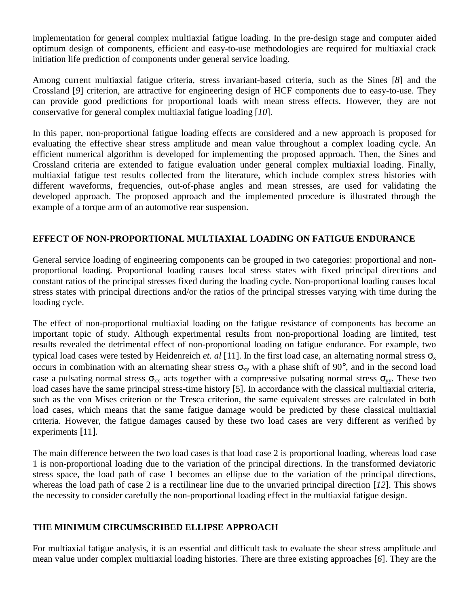implementation for general complex multiaxial fatigue loading. In the pre-design stage and computer aided optimum design of components, efficient and easy-to-use methodologies are required for multiaxial crack initiation life prediction of components under general service loading.

Among current multiaxial fatigue criteria, stress invariant-based criteria, such as the Sines [*8*] and the Crossland [*9*] criterion, are attractive for engineering design of HCF components due to easy-to-use. They can provide good predictions for proportional loads with mean stress effects. However, they are not conservative for general complex multiaxial fatigue loading [*10*].

In this paper, non-proportional fatigue loading effects are considered and a new approach is proposed for evaluating the effective shear stress amplitude and mean value throughout a complex loading cycle. An efficient numerical algorithm is developed for implementing the proposed approach. Then, the Sines and Crossland criteria are extended to fatigue evaluation under general complex multiaxial loading. Finally, multiaxial fatigue test results collected from the literature, which include complex stress histories with different waveforms, frequencies, out-of-phase angles and mean stresses, are used for validating the developed approach. The proposed approach and the implemented procedure is illustrated through the example of a torque arm of an automotive rear suspension.

# **EFFECT OF NON-PROPORTIONAL MULTIAXIAL LOADING ON FATIGUE ENDURANCE**

General service loading of engineering components can be grouped in two categories: proportional and nonproportional loading. Proportional loading causes local stress states with fixed principal directions and constant ratios of the principal stresses fixed during the loading cycle. Non-proportional loading causes local stress states with principal directions and/or the ratios of the principal stresses varying with time during the loading cycle.

The effect of non-proportional multiaxial loading on the fatigue resistance of components has become an important topic of study. Although experimental results from non-proportional loading are limited, test results revealed the detrimental effect of non-proportional loading on fatigue endurance. For example, two typical load cases were tested by Heidenreich *et. al* [11]. In the first load case, an alternating normal stress  $\sigma_x$ occurs in combination with an alternating shear stress  $\sigma_{xy}$  with a phase shift of 90°, and in the second load case a pulsating normal stress  $\sigma_{xx}$  acts together with a compressive pulsating normal stress  $\sigma_{yy}$ . These two load cases have the same principal stress-time history [5]. In accordance with the classical multiaxial criteria, such as the von Mises criterion or the Tresca criterion, the same equivalent stresses are calculated in both load cases, which means that the same fatigue damage would be predicted by these classical multiaxial criteria. However, the fatigue damages caused by these two load cases are very different as verified by experiments [11].

The main difference between the two load cases is that load case 2 is proportional loading, whereas load case 1 is non-proportional loading due to the variation of the principal directions. In the transformed deviatoric stress space, the load path of case 1 becomes an ellipse due to the variation of the principal directions, whereas the load path of case 2 is a rectilinear line due to the unvaried principal direction [*12*]. This shows the necessity to consider carefully the non-proportional loading effect in the multiaxial fatigue design.

# **THE MINIMUM CIRCUMSCRIBED ELLIPSE APPROACH**

For multiaxial fatigue analysis, it is an essential and difficult task to evaluate the shear stress amplitude and mean value under complex multiaxial loading histories. There are three existing approaches [*6*]. They are the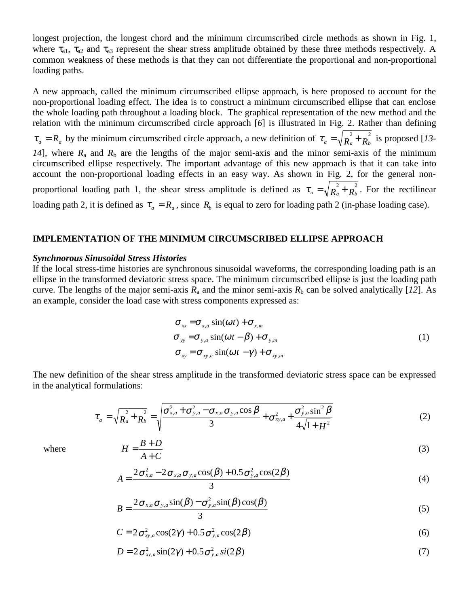longest projection, the longest chord and the minimum circumscribed circle methods as shown in Fig. 1, where  $\tau_{a1}$ ,  $\tau_{a2}$  and  $\tau_{a3}$  represent the shear stress amplitude obtained by these three methods respectively. A common weakness of these methods is that they can not differentiate the proportional and non-proportional loading paths.

A new approach, called the minimum circumscribed ellipse approach, is here proposed to account for the non-proportional loading effect. The idea is to construct a minimum circumscribed ellipse that can enclose the whole loading path throughout a loading block. The graphical representation of the new method and the relation with the minimum circumscribed circle approach [*6*] is illustrated in Fig. 2. Rather than defining  $\tau_a = R_a$  by the minimum circumscribed circle approach, a new definition of  $\tau_a = \sqrt{R_a^2 + R_b^2}$  is proposed [*13*-14], where  $R_a$  and  $R_b$  are the lengths of the major semi-axis and the minor semi-axis of the minimum circumscribed ellipse respectively. The important advantage of this new approach is that it can take into account the non-proportional loading effects in an easy way. As shown in Fig. 2, for the general nonproportional loading path 1, the shear stress amplitude is defined as  $\tau_a = \sqrt{R_a^2 + R_b^2}$ . For the rectilinear loading path 2, it is defined as  $\tau_a = R_a$ , since  $R_b$  is equal to zero for loading path 2 (in-phase loading case).

#### **IMPLEMENTATION OF THE MINIMUM CIRCUMSCRIBED ELLIPSE APPROACH**

#### *Synchnorous Sinusoidal Stress Histories*

If the local stress-time histories are synchronous sinusoidal waveforms, the corresponding loading path is an ellipse in the transformed deviatoric stress space. The minimum circumscribed ellipse is just the loading path curve. The lengths of the major semi-axis  $R_a$  and the minor semi-axis  $R_b$  can be solved analytically [12]. As an example, consider the load case with stress components expressed as:

$$
\sigma_{xx} = \sigma_{x,a} \sin(\omega t) + \sigma_{x,m}
$$
  
\n
$$
\sigma_{yy} = \sigma_{y,a} \sin(\omega t - \beta) + \sigma_{y,m}
$$
  
\n
$$
\sigma_{xy} = \sigma_{xy,a} \sin(\omega t - \gamma) + \sigma_{xy,m}
$$
\n(1)

The new definition of the shear stress amplitude in the transformed deviatoric stress space can be expressed in the analytical formulations:

$$
\tau_a = \sqrt{R_a^2 + R_b^2} = \sqrt{\frac{\sigma_{x,a}^2 + \sigma_{y,a}^2 - \sigma_{x,a}\sigma_{y,a}\cos\beta}{3} + \sigma_{xy,a}^2 + \frac{\sigma_{y,a}^2 \sin^2\beta}{4\sqrt{1 + H^2}}}
$$
(2)

where

$$
H = \frac{B+D}{A+C} \tag{3}
$$

$$
A = \frac{2\sigma_{x,a}^2 - 2\sigma_{x,a}\sigma_{y,a}\cos(\beta) + 0.5\sigma_{y,a}^2\cos(2\beta)}{3}
$$
(4)

$$
B = \frac{2\sigma_{x,a}\sigma_{y,a}\sin(\beta) - \sigma_{y,a}^2\sin(\beta)\cos(\beta)}{3}
$$
 (5)

$$
C = 2\sigma_{xy,a}^2 \cos(2\gamma) + 0.5\sigma_{y,a}^2 \cos(2\beta)
$$
 (6)

$$
D = 2\sigma_{xy,a}^2 \sin(2\gamma) + 0.5\sigma_{y,a}^2 \sin(2\beta)
$$
\n<sup>(7)</sup>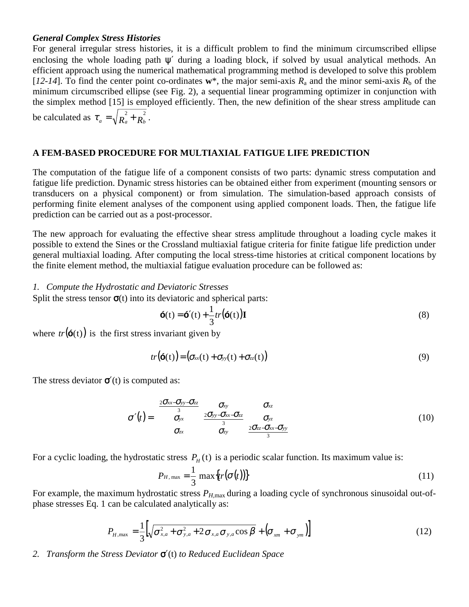### *General Complex Stress Histories*

For general irregular stress histories, it is a difficult problem to find the minimum circumscribed ellipse enclosing the whole loading path  $\psi'$  during a loading block, if solved by usual analytical methods. An efficient approach using the numerical mathematical programming method is developed to solve this problem [ $12-14$ ]. To find the center point co-ordinates  $w^*$ , the major semi-axis  $R_a$  and the minor semi-axis  $R_b$  of the minimum circumscribed ellipse (see Fig. 2), a sequential linear programming optimizer in conjunction with the simplex method [15] is employed efficiently. Then, the new definition of the shear stress amplitude can be calculated as  $\tau_a = \sqrt{R_a^2 + R_b^2}$ .

### **A FEM-BASED PROCEDURE FOR MULTIAXIAL FATIGUE LIFE PREDICTION**

The computation of the fatigue life of a component consists of two parts: dynamic stress computation and fatigue life prediction. Dynamic stress histories can be obtained either from experiment (mounting sensors or transducers on a physical component) or from simulation. The simulation-based approach consists of performing finite element analyses of the component using applied component loads. Then, the fatigue life prediction can be carried out as a post-processor.

The new approach for evaluating the effective shear stress amplitude throughout a loading cycle makes it possible to extend the Sines or the Crossland multiaxial fatigue criteria for finite fatigue life prediction under general multiaxial loading. After computing the local stress-time histories at critical component locations by the finite element method, the multiaxial fatigue evaluation procedure can be followed as:

*1. Compute the Hydrostatic and Deviatoric Stresses*

Split the stress tensor  $\sigma(t)$  into its deviatoric and spherical parts:

$$
\mathbf{G}(t) = \mathbf{G}'(t) + \frac{1}{3}tr(\mathbf{G}(t))\mathbf{I}
$$
\n(8)

where  $tr(G(t))$  is the first stress invariant given by

$$
tr(\mathbf{\tilde{6}}(t)) = (\sigma_{xx}(t) + \sigma_{yy}(t) + \sigma_{zz}(t))
$$
\n(9)

The stress deviator  $\sigma'(t)$  is computed as:

$$
\sigma'(t) = \begin{pmatrix}\n\frac{2\sigma_{xx} - \sigma_{yy} - \sigma_{zz}}{3} & \sigma_{xy} & \sigma_{xz} \\
\sigma_{yx} & \frac{2\sigma_{yy} - \sigma_{xx} - \sigma_{zz}}{3} & \sigma_{yz} \\
\sigma_{zx} & \sigma_{zy} & \frac{2\sigma_{zz} - \sigma_{xx} - \sigma_{yy}}{3}\n\end{pmatrix}
$$
\n(10)

For a cyclic loading, the hydrostatic stress  $P_H(t)$  is a periodic scalar function. Its maximum value is:

$$
P_{H,\max} = \frac{1}{3} \max\{tr(\sigma(t))\} \tag{11}
$$

For example, the maximum hydrostatic stress  $P_{H,\text{max}}$  during a loading cycle of synchronous sinusoidal out-ofphase stresses Eq. 1 can be calculated analytically as:

$$
P_{H,\max} = \frac{1}{3} \left[ \sqrt{\sigma_{x,a}^2 + \sigma_{y,a}^2 + 2 \sigma_{x,a} \sigma_{y,a} \cos \beta} + \left( \sigma_{x,m} + \sigma_{y,m} \right) \right]
$$
(12)

*2. Transform the Stress Deviator* σ′(t) *to Reduced Euclidean Space*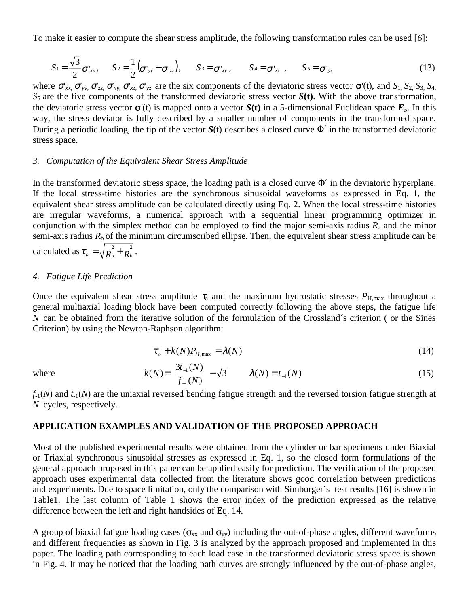To make it easier to compute the shear stress amplitude, the following transformation rules can be used [*6*]:

$$
S_1 = \frac{\sqrt{3}}{2}\sigma'_{xx}, \quad S_2 = \frac{1}{2}(\sigma'_{yy} - \sigma'_{zz}), \quad S_3 = \sigma'_{xy}, \quad S_4 = \sigma'_{xz}, \quad S_5 = \sigma'_{yz}
$$
(13)

where  $\sigma'_{xx}$ ,  $\sigma'_{yy}$ ,  $\sigma'_{zz}$ ,  $\sigma'_{xy}$ ,  $\sigma'_{xz}$ ,  $\sigma'_{yz}$  are the six components of the deviatoric stress vector  $\sigma'(t)$ , and  $S_1$ ,  $S_2$ ,  $S_3$ ,  $S_4$ , *S*5 are the five components of the transformed deviatoric stress vector *S***(t)**. With the above transformation, the deviatoric stress vector  $\sigma'(t)$  is mapped onto a vector  $S(t)$  in a 5-dimensional Euclidean space  $E_5$ . In this way, the stress deviator is fully described by a smaller number of components in the transformed space. During a periodic loading, the tip of the vector  $S(t)$  describes a closed curve  $\Phi'$  in the transformed deviatoric stress space.

#### *3. Computation of the Equivalent Shear Stress Amplitude*

In the transformed deviatoric stress space, the loading path is a closed curve  $\Phi'$  in the deviatoric hyperplane. If the local stress-time histories are the synchronous sinusoidal waveforms as expressed in Eq. 1, the equivalent shear stress amplitude can be calculated directly using Eq. 2. When the local stress-time histories are irregular waveforms, a numerical approach with a sequential linear programming optimizer in conjunction with the simplex method can be employed to find the major semi-axis radius  $R_a$  and the minor semi-axis radius  $R<sub>b</sub>$  of the minimum circumscribed ellipse. Then, the equivalent shear stress amplitude can be calculated as  $\tau_a = \sqrt{R_a^2 + R_b^2}$ .

#### *4. Fatigue Life Prediction*

Once the equivalent shear stress amplitude  $\tau_a$  and the maximum hydrostatic stresses  $P_{\text{H,max}}$  throughout a general multiaxial loading block have been computed correctly following the above steps, the fatigue life *N* can be obtained from the iterative solution of the formulation of the Crossland´s criterion ( or the Sines Criterion) by using the Newton-Raphson algorithm:

$$
\tau_a + k(N)P_{H,\text{max}} = \lambda(N) \tag{14}
$$

where 
$$
k(N) = \left(\frac{3t_{-1}(N)}{f_{-1}(N)}\right) - \sqrt{3}
$$
  $\lambda(N) = t_{-1}(N)$  (15)

*f*-1(*N*) and *t*-1(*N*) are the uniaxial reversed bending fatigue strength and the reversed torsion fatigue strength at *N* cycles, respectively.

#### **APPLICATION EXAMPLES AND VALIDATION OF THE PROPOSED APPROACH**

Most of the published experimental results were obtained from the cylinder or bar specimens under Biaxial or Triaxial synchronous sinusoidal stresses as expressed in Eq. 1, so the closed form formulations of the general approach proposed in this paper can be applied easily for prediction. The verification of the proposed approach uses experimental data collected from the literature shows good correlation between predictions and experiments. Due to space limitation, only the comparison with Simburger´s test results [16] is shown in Table1. The last column of Table 1 shows the error index of the prediction expressed as the relative difference between the left and right handsides of Eq. 14.

A group of biaxial fatigue loading cases ( $\sigma_{xx}$  and  $\sigma_{yy}$ ) including the out-of-phase angles, different waveforms and different frequencies as shown in Fig. 3 is analyzed by the approach proposed and implemented in this paper. The loading path corresponding to each load case in the transformed deviatoric stress space is shown in Fig. 4. It may be noticed that the loading path curves are strongly influenced by the out-of-phase angles,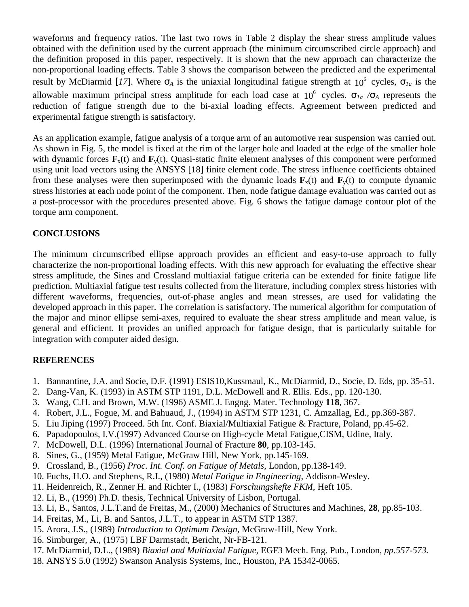waveforms and frequency ratios. The last two rows in Table 2 display the shear stress amplitude values obtained with the definition used by the current approach (the minimum circumscribed circle approach) and the definition proposed in this paper, respectively. It is shown that the new approach can characterize the non-proportional loading effects. Table 3 shows the comparison between the predicted and the experimental result by McDiarmid [17]. Where  $\sigma_A$  is the uniaxial longitudinal fatigue strength at 10<sup>6</sup> cycles,  $\sigma_{Ia}$  is the allowable maximum principal stress amplitude for each load case at 106 cycles. σ*1a /*σ*<sup>A</sup>* represents the reduction of fatigue strength due to the bi-axial loading effects. Agreement between predicted and experimental fatigue strength is satisfactory.

As an application example, fatigue analysis of a torque arm of an automotive rear suspension was carried out. As shown in Fig. 5, the model is fixed at the rim of the larger hole and loaded at the edge of the smaller hole with dynamic forces  $\mathbf{F}_x(t)$  and  $\mathbf{F}_y(t)$ . Quasi-static finite element analyses of this component were performed using unit load vectors using the ANSYS [18] finite element code. The stress influence coefficients obtained from these analyses were then superimposed with the dynamic loads  $\mathbf{F}_x(t)$  and  $\mathbf{F}_y(t)$  to compute dynamic stress histories at each node point of the component. Then, node fatigue damage evaluation was carried out as a post-processor with the procedures presented above. Fig. 6 shows the fatigue damage contour plot of the torque arm component.

### **CONCLUSIONS**

The minimum circumscribed ellipse approach provides an efficient and easy-to-use approach to fully characterize the non-proportional loading effects. With this new approach for evaluating the effective shear stress amplitude, the Sines and Crossland multiaxial fatigue criteria can be extended for finite fatigue life prediction. Multiaxial fatigue test results collected from the literature, including complex stress histories with different waveforms, frequencies, out-of-phase angles and mean stresses, are used for validating the developed approach in this paper. The correlation is satisfactory. The numerical algorithm for computation of the major and minor ellipse semi-axes, required to evaluate the shear stress amplitude and mean value, is general and efficient. It provides an unified approach for fatigue design, that is particularly suitable for integration with computer aided design.

# **REFERENCES**

- 1. Bannantine, J.A. and Socie, D.F. (1991) ESIS10,Kussmaul, K., McDiarmid, D., Socie, D. Eds, pp. 35-51.
- 2. Dang-Van, K. (1993) in ASTM STP 1191, D.L. McDowell and R. Ellis. Eds., pp. 120-130.
- 3. Wang, C.H. and Brown, M.W. (1996) ASME J. Engng. Mater. Technology **118**, 367.
- 4. Robert, J.L., Fogue, M. and Bahuaud, J., (1994) in ASTM STP 1231, C. Amzallag, Ed., pp.369-387.
- 5. Liu Jiping (1997) Proceed. 5th Int. Conf. Biaxial/Multiaxial Fatigue & Fracture, Poland, pp.45-62.
- 6. Papadopoulos, I.V.(1997) Advanced Course on High-cycle Metal Fatigue,CISM, Udine, Italy.
- 7. McDowell, D.L. (1996) International Journal of Fracture **80**, pp.103-145.
- 8. Sines, G., (1959) Metal Fatigue, McGraw Hill, New York, pp.145-169.
- 9. Crossland, B., (1956) *Proc. Int. Conf. on Fatigue of Metals*, London, pp.138-149.
- 10. Fuchs, H.O. and Stephens, R.I., (1980) *Metal Fatigue in Engineering*, Addison-Wesley.
- 11. Heidenreich, R., Zenner H. and Richter I., (1983) *Forschungshefte FKM,* Heft 105.
- 12. Li, B., (1999) Ph.D. thesis, Technical University of Lisbon, Portugal.
- 13. Li, B., Santos, J.L.T.and de Freitas, M., (2000) Mechanics of Structures and Machines, **28**, pp.85-103.
- 14. Freitas, M., Li, B. and Santos, J.L.T., to appear in ASTM STP 1387.
- 15. Arora, J.S., (1989) *Introduction to Optimum Design*, McGraw-Hill, New York.
- 16. Simburger, A., (1975) LBF Darmstadt, Bericht, Nr-FB-121.
- 17. McDiarmid, D.L., (1989) *Biaxial and Multiaxial Fatigue,* EGF3 Mech. Eng. Pub., London, *pp.557-573.*
- 18. ANSYS 5.0 (1992) Swanson Analysis Systems, Inc., Houston, PA 15342-0065.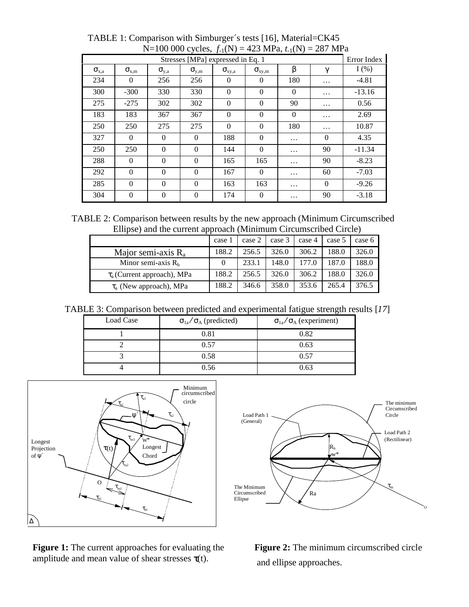|                                   |                |                | $1000000$ $1000$ , $11(11)$ |                 | $1 - 3$ $1 - 1$ $1 - 1$ |          |             |          |
|-----------------------------------|----------------|----------------|-----------------------------|-----------------|-------------------------|----------|-------------|----------|
| Stresses [MPa] expressed in Eq. 1 |                |                |                             |                 |                         |          | Error Index |          |
| $\sigma_{\rm x,a}$                | $\sigma_{x,m}$ | $\sigma_{v,a}$ | $\sigma_{\rm y,m}$          | $\sigma_{xy,a}$ | $\sigma_{xy,m}$         | β        | γ           | $I(\%)$  |
| 234                               | $\theta$       | 256            | 256                         | $\Omega$        | $\theta$                | 180      | $\cdots$    | $-4.81$  |
| 300                               | $-300$         | 330            | 330                         | $\theta$        | $\theta$                | $\Omega$ | $\cdots$    | $-13.16$ |
| 275                               | $-275$         | 302            | 302                         | $\theta$        | $\theta$                | 90       | $\cdots$    | 0.56     |
| 183                               | 183            | 367            | 367                         | $\Omega$        | $\theta$                | $\theta$ | $\cdots$    | 2.69     |
| 250                               | 250            | 275            | 275                         | $\Omega$        | $\theta$                | 180      | $\cdots$    | 10.87    |
| 327                               | $\Omega$       | $\Omega$       | $\Omega$                    | 188             | $\theta$                | .        | $\theta$    | 4.35     |
| 250                               | 250            | $\Omega$       | $\overline{0}$              | 144             | $\theta$                | .        | 90          | $-11.34$ |
| 288                               | $\Omega$       | $\Omega$       | $\Omega$                    | 165             | 165                     | .        | 90          | $-8.23$  |
| 292                               | $\Omega$       | $\Omega$       | $\Omega$                    | 167             | $\theta$                | .        | 60          | $-7.03$  |
| 285                               | $\mathbf{0}$   | $\mathbf{0}$   | $\overline{0}$              | 163             | 163                     | .        | $\theta$    | $-9.26$  |
| 304                               | $\mathbf{0}$   | $\theta$       | $\mathbf{0}$                | 174             | $\boldsymbol{0}$        | .        | 90          | $-3.18$  |

TABLE 1: Comparison with Simburger´s tests [16], Material=CK45 N=100 000 cycles, *f*-1(N) = 423 MPa, *t*-1(N) = 287 MPa

 TABLE 2: Comparison between results by the new approach (Minimum Circumscribed Ellipse) and the current approach (Minimum Circumscribed Circle)

|                                  | case 1   | case 2 | case 3 | case 4 | case 5 | case 6 |
|----------------------------------|----------|--------|--------|--------|--------|--------|
| Major semi-axis $R_a$            | 188.2    | 256.5  | 326.0  | 306.2  | 188.0  | 326.0  |
| Minor semi-axis $Rb$             | $\theta$ | 233.1  | 148.0  | 177.0  | 187.0  | 188.0  |
| $\tau_a$ (Current approach), MPa | 188.2    | 256.5  | 326.0  | 306.2  | 188.0  | 326.0  |
| $\tau_a$ (New approach), MPa     | 188.2    | 346.6  | 358.0  | 353.6  | 265.4  | 376.5  |

TABLE 3: Comparison between predicted and experimental fatigue strength results [*17*]

| Load Case | $\sigma_{1a}/\sigma_A$ (predicted) | ັ<br>$\sigma_{1a}/\sigma_A$ (experiment) |
|-----------|------------------------------------|------------------------------------------|
|           | 0.81                               | 0.82                                     |
|           | 0.57                               | 0.63                                     |
|           | 0.58                               | 0.57                                     |
|           | 0.56                               | 0.63                                     |



**Figure 1:** The current approaches for evaluating the amplitude and mean value of shear stresses  $\tau(t)$ .



 **Figure 2:** The minimum circumscribed circle and ellipse approaches.